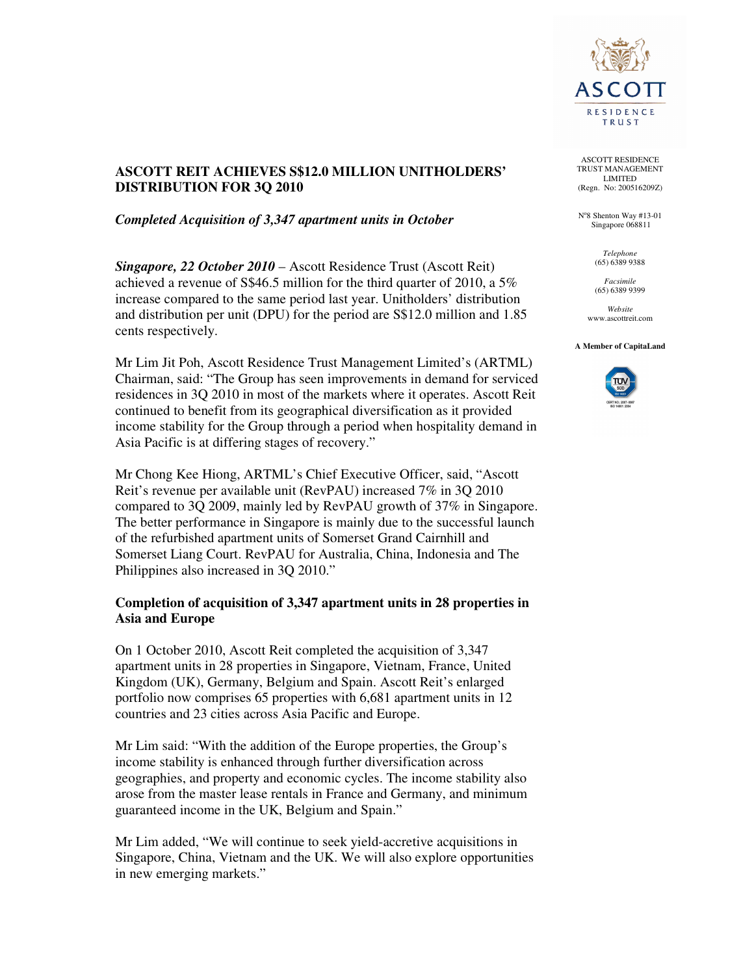

# **ASCOTT REIT ACHIEVES S\$12.0 MILLION UNITHOLDERS' DISTRIBUTION FOR 3Q 2010**

*Completed Acquisition of 3,347 apartment units in October* 

*Singapore, 22 October 2010* – Ascott Residence Trust (Ascott Reit) achieved a revenue of S\$46.5 million for the third quarter of 2010, a 5% increase compared to the same period last year. Unitholders' distribution and distribution per unit (DPU) for the period are S\$12.0 million and 1.85 cents respectively.

Mr Lim Jit Poh, Ascott Residence Trust Management Limited's (ARTML) Chairman, said: "The Group has seen improvements in demand for serviced residences in 3Q 2010 in most of the markets where it operates. Ascott Reit continued to benefit from its geographical diversification as it provided income stability for the Group through a period when hospitality demand in Asia Pacific is at differing stages of recovery."

Mr Chong Kee Hiong, ARTML's Chief Executive Officer, said, "Ascott Reit's revenue per available unit (RevPAU) increased 7% in 3Q 2010 compared to 3Q 2009, mainly led by RevPAU growth of 37% in Singapore. The better performance in Singapore is mainly due to the successful launch of the refurbished apartment units of Somerset Grand Cairnhill and Somerset Liang Court. RevPAU for Australia, China, Indonesia and The Philippines also increased in 3Q 2010."

## **Completion of acquisition of 3,347 apartment units in 28 properties in Asia and Europe**

On 1 October 2010, Ascott Reit completed the acquisition of 3,347 apartment units in 28 properties in Singapore, Vietnam, France, United Kingdom (UK), Germany, Belgium and Spain. Ascott Reit's enlarged portfolio now comprises 65 properties with 6,681 apartment units in 12 countries and 23 cities across Asia Pacific and Europe.

Mr Lim said: "With the addition of the Europe properties, the Group's income stability is enhanced through further diversification across geographies, and property and economic cycles. The income stability also arose from the master lease rentals in France and Germany, and minimum guaranteed income in the UK, Belgium and Spain."

Mr Lim added, "We will continue to seek yield-accretive acquisitions in Singapore, China, Vietnam and the UK. We will also explore opportunities in new emerging markets."

ASCOTT RESIDENCE TRUST MANAGEMENT LIMITED (Regn. No: 200516209Z)

N°8 Shenton Way #13-01 Singapore 068811

> *Telephone*  (65) 6389 9388

*Facsimile*  (65) 6389 9399

*Website*  www.ascottreit.com

#### **A Member of CapitaLand**

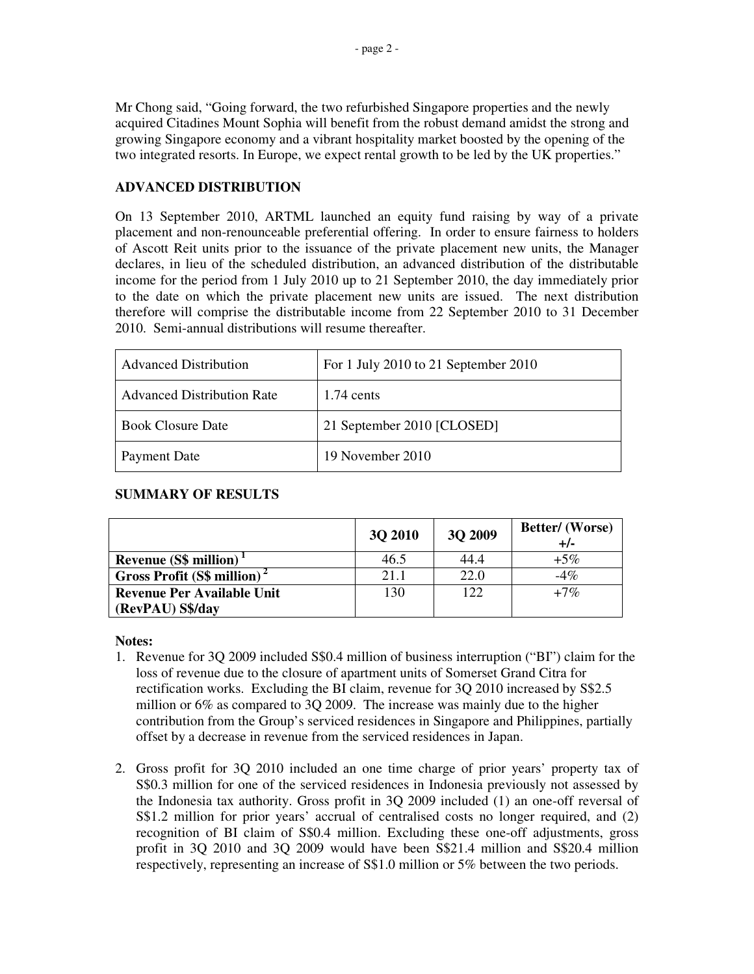Mr Chong said, "Going forward, the two refurbished Singapore properties and the newly acquired Citadines Mount Sophia will benefit from the robust demand amidst the strong and growing Singapore economy and a vibrant hospitality market boosted by the opening of the two integrated resorts. In Europe, we expect rental growth to be led by the UK properties."

## **ADVANCED DISTRIBUTION**

On 13 September 2010, ARTML launched an equity fund raising by way of a private placement and non-renounceable preferential offering. In order to ensure fairness to holders of Ascott Reit units prior to the issuance of the private placement new units, the Manager declares, in lieu of the scheduled distribution, an advanced distribution of the distributable income for the period from 1 July 2010 up to 21 September 2010, the day immediately prior to the date on which the private placement new units are issued. The next distribution therefore will comprise the distributable income from 22 September 2010 to 31 December 2010. Semi-annual distributions will resume thereafter.

| <b>Advanced Distribution</b>      | For 1 July 2010 to 21 September 2010 |
|-----------------------------------|--------------------------------------|
| <b>Advanced Distribution Rate</b> | $1.74$ cents                         |
| <b>Book Closure Date</b>          | 21 September 2010 [CLOSED]           |
| Payment Date                      | 19 November 2010                     |

#### **SUMMARY OF RESULTS**

|                                          | <b>30 2010</b> | <b>3Q 2009</b> | Better/ (Worse)<br>$+/-$ |
|------------------------------------------|----------------|----------------|--------------------------|
| <b>Revenue (S\$ million)</b>             | 46.5           | 44.4           | $+5\%$                   |
| Gross Profit $(S\$ million) <sup>2</sup> | 21.1           | 22.0           | $-4\%$                   |
| <b>Revenue Per Available Unit</b>        | 130            | 122            | $+7\%$                   |
| (RevPAU) S\$/day                         |                |                |                          |

#### **Notes:**

- 1. Revenue for 3Q 2009 included S\$0.4 million of business interruption ("BI") claim for the loss of revenue due to the closure of apartment units of Somerset Grand Citra for rectification works. Excluding the BI claim, revenue for 3Q 2010 increased by S\$2.5 million or 6% as compared to 3Q 2009. The increase was mainly due to the higher contribution from the Group's serviced residences in Singapore and Philippines, partially offset by a decrease in revenue from the serviced residences in Japan.
- 2. Gross profit for 3Q 2010 included an one time charge of prior years' property tax of S\$0.3 million for one of the serviced residences in Indonesia previously not assessed by the Indonesia tax authority. Gross profit in 3Q 2009 included (1) an one-off reversal of S\$1.2 million for prior years' accrual of centralised costs no longer required, and (2) recognition of BI claim of S\$0.4 million. Excluding these one-off adjustments, gross profit in 3Q 2010 and 3Q 2009 would have been S\$21.4 million and S\$20.4 million respectively, representing an increase of S\$1.0 million or 5% between the two periods.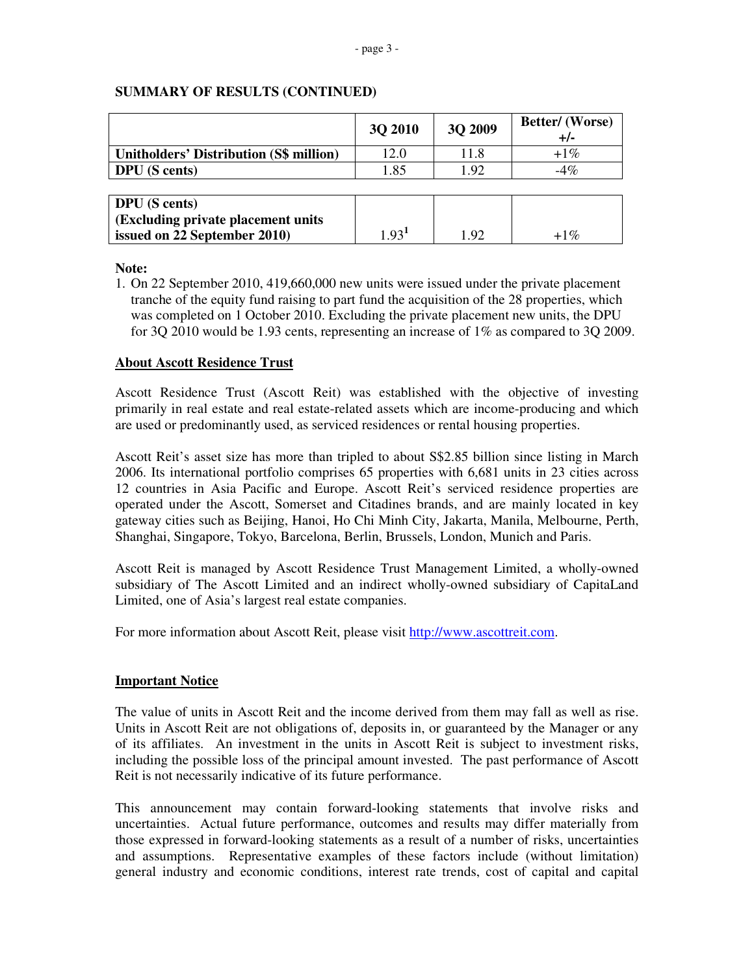|                                         | 3Q 2010           | 3Q 2009 | <b>Better/</b> (Worse)<br>$+/-$ |
|-----------------------------------------|-------------------|---------|---------------------------------|
| Unitholders' Distribution (S\$ million) | 12.0              | 11.8    | $+1\%$                          |
| <b>DPU</b> (S cents)                    | 1.85              | 1.92    | $-4\%$                          |
|                                         |                   |         |                                 |
| <b>DPU</b> (S cents)                    |                   |         |                                 |
| (Excluding private placement units)     |                   |         |                                 |
| issued on 22 September 2010)            | 1.93 <sup>1</sup> | 1.92    | $+1\%$                          |

#### **SUMMARY OF RESULTS (CONTINUED)**

**Note:** 

1. On 22 September 2010, 419,660,000 new units were issued under the private placement tranche of the equity fund raising to part fund the acquisition of the 28 properties, which was completed on 1 October 2010. Excluding the private placement new units, the DPU for 3Q 2010 would be 1.93 cents, representing an increase of 1% as compared to 3Q 2009.

## **About Ascott Residence Trust**

Ascott Residence Trust (Ascott Reit) was established with the objective of investing primarily in real estate and real estate-related assets which are income-producing and which are used or predominantly used, as serviced residences or rental housing properties.

Ascott Reit's asset size has more than tripled to about S\$2.85 billion since listing in March 2006. Its international portfolio comprises 65 properties with 6,681 units in 23 cities across 12 countries in Asia Pacific and Europe. Ascott Reit's serviced residence properties are operated under the Ascott, Somerset and Citadines brands, and are mainly located in key gateway cities such as Beijing, Hanoi, Ho Chi Minh City, Jakarta, Manila, Melbourne, Perth, Shanghai, Singapore, Tokyo, Barcelona, Berlin, Brussels, London, Munich and Paris.

Ascott Reit is managed by Ascott Residence Trust Management Limited, a wholly-owned subsidiary of The Ascott Limited and an indirect wholly-owned subsidiary of CapitaLand Limited, one of Asia's largest real estate companies.

For more information about Ascott Reit, please visit http://www.ascottreit.com.

#### **Important Notice**

The value of units in Ascott Reit and the income derived from them may fall as well as rise. Units in Ascott Reit are not obligations of, deposits in, or guaranteed by the Manager or any of its affiliates. An investment in the units in Ascott Reit is subject to investment risks, including the possible loss of the principal amount invested. The past performance of Ascott Reit is not necessarily indicative of its future performance.

This announcement may contain forward-looking statements that involve risks and uncertainties. Actual future performance, outcomes and results may differ materially from those expressed in forward-looking statements as a result of a number of risks, uncertainties and assumptions. Representative examples of these factors include (without limitation) general industry and economic conditions, interest rate trends, cost of capital and capital